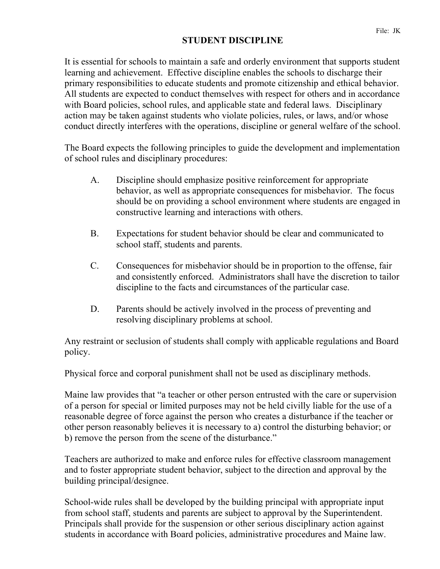## **STUDENT DISCIPLINE**

It is essential for schools to maintain a safe and orderly environment that supports student learning and achievement. Effective discipline enables the schools to discharge their primary responsibilities to educate students and promote citizenship and ethical behavior. All students are expected to conduct themselves with respect for others and in accordance with Board policies, school rules, and applicable state and federal laws. Disciplinary action may be taken against students who violate policies, rules, or laws, and/or whose conduct directly interferes with the operations, discipline or general welfare of the school.

The Board expects the following principles to guide the development and implementation of school rules and disciplinary procedures:

- A. Discipline should emphasize positive reinforcement for appropriate behavior, as well as appropriate consequences for misbehavior. The focus should be on providing a school environment where students are engaged in constructive learning and interactions with others.
- B. Expectations for student behavior should be clear and communicated to school staff, students and parents.
- C. Consequences for misbehavior should be in proportion to the offense, fair and consistently enforced. Administrators shall have the discretion to tailor discipline to the facts and circumstances of the particular case.
- D. Parents should be actively involved in the process of preventing and resolving disciplinary problems at school.

Any restraint or seclusion of students shall comply with applicable regulations and Board policy.

Physical force and corporal punishment shall not be used as disciplinary methods.

Maine law provides that "a teacher or other person entrusted with the care or supervision of a person for special or limited purposes may not be held civilly liable for the use of a reasonable degree of force against the person who creates a disturbance if the teacher or other person reasonably believes it is necessary to a) control the disturbing behavior; or b) remove the person from the scene of the disturbance."

Teachers are authorized to make and enforce rules for effective classroom management and to foster appropriate student behavior, subject to the direction and approval by the building principal/designee.

School-wide rules shall be developed by the building principal with appropriate input from school staff, students and parents are subject to approval by the Superintendent. Principals shall provide for the suspension or other serious disciplinary action against students in accordance with Board policies, administrative procedures and Maine law.